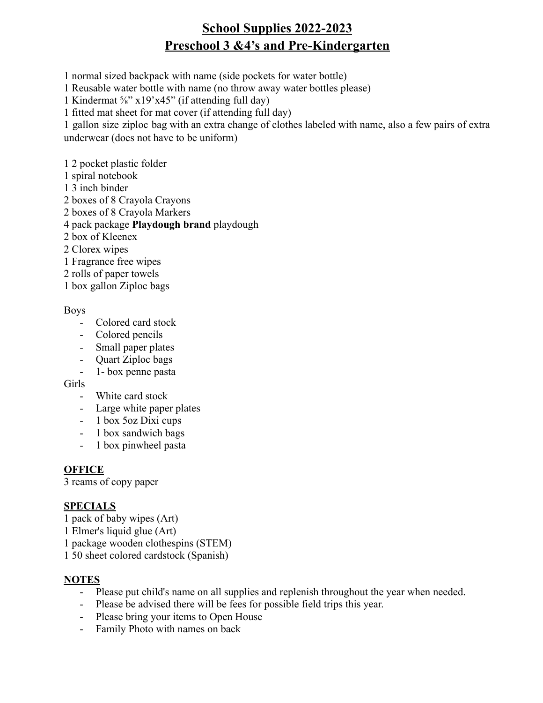# **School Supplies 2022-2023 Preschool 3 &4's and Pre-Kindergarten**

1 normal sized backpack with name (side pockets for water bottle)

1 Reusable water bottle with name (no throw away water bottles please)

1 Kindermat  $\frac{5}{8}$ " x19'x45" (if attending full day)

1 fitted mat sheet for mat cover (if attending full day)

1 gallon size ziploc bag with an extra change of clothes labeled with name, also a few pairs of extra underwear (does not have to be uniform)

1 2 pocket plastic folder

- 1 spiral notebook
- 1 3 inch binder
- 2 boxes of 8 Crayola Crayons
- 2 boxes of 8 Crayola Markers
- 4 pack package **Playdough brand** playdough
- 2 box of Kleenex
- 2 Clorex wipes
- 1 Fragrance free wipes
- 2 rolls of paper towels
- 1 box gallon Ziploc bags

### Boys

- Colored card stock
- Colored pencils
- Small paper plates
- Quart Ziploc bags
- 1- box penne pasta

Girls

- White card stock
- Large white paper plates
- 1 box 5oz Dixi cups
- 1 box sandwich bags
- 1 box pinwheel pasta

## **OFFICE**

3 reams of copy paper

## **SPECIALS**

- 1 pack of baby wipes (Art)
- 1 Elmer's liquid glue (Art)
- 1 package wooden clothespins (STEM)
- 1 50 sheet colored cardstock (Spanish)

- Please put child's name on all supplies and replenish throughout the year when needed.
- Please be advised there will be fees for possible field trips this year.
- Please bring your items to Open House
- Family Photo with names on back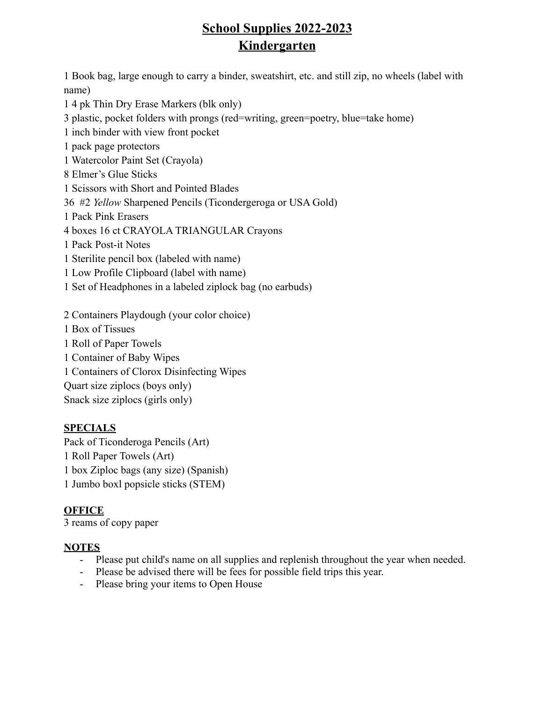# **School Supplies 2022-2023 Kindergarten**

1 Book bag, large enough to carry a binder, sweatshirt, etc. and still zip, no wheels (label with name)

1 4 pk Thin Dry Erase Markers (blk only)

3 plastic, pocket folders with prongs (red=writing, green=poetry, blue=take home)

1 inch binder with view front pocket

1 pack page protectors

1 Watercolor Paint Set (Crayola)

8 Elmer's Glue Sticks

1 Scissors with Short and Pointed Blades

36 #2 *Yellow* Sharpened Pencils (Ticondergeroga or USA Gold)

1 Pack Pink Erasers

4 boxes 16 ct CRAYOLA TRIANGULAR Crayons

1 Pack Post-it Notes

1 Sterilite pencil box (labeled with name)

1 Low Profile Clipboard (label with name)

1 Set of Headphones in a labeled ziplock bag (no earbuds)

2 Containers Playdough (your color choice)

1 Box of Tissues

1 Roll of Paper Towels

1 Container of Baby Wipes

1 Containers of Clorox Disinfecting Wipes

Quart size ziplocs (boys only)

Snack size ziplocs (girls only)

## **SPECIALS**

Pack of Ticonderoga Pencils (Art) 1 Roll Paper Towels (Art) 1 box Ziploc bags (any size) (Spanish) 1 Jumbo boxl popsicle sticks (STEM)

## **OFFICE**

3 reams of copy paper

- Please put child's name on all supplies and replenish throughout the year when needed.
- Please be advised there will be fees for possible field trips this year.
- Please bring your items to Open House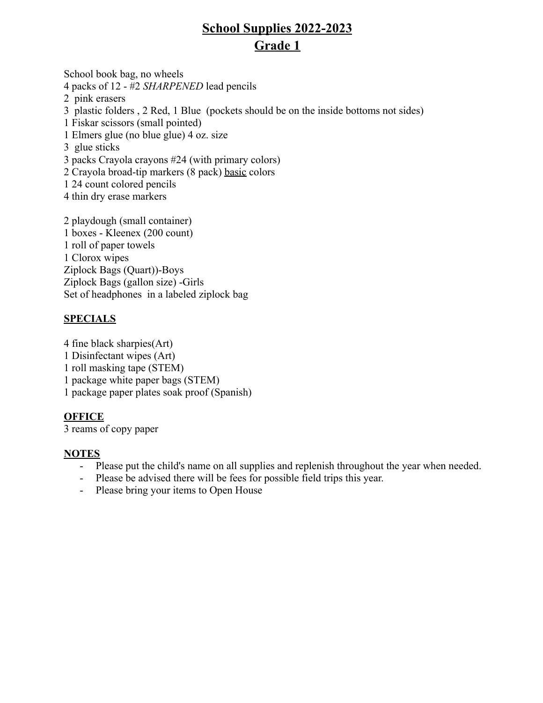School book bag, no wheels 4 packs of 12 - #2 *SHARPENED* lead pencils 2 pink erasers 3 plastic folders , 2 Red, 1 Blue (pockets should be on the inside bottoms not sides) 1 Fiskar scissors (small pointed) 1 Elmers glue (no blue glue) 4 oz. size 3 glue sticks 3 packs Crayola crayons #24 (with primary colors) 2 Crayola broad-tip markers (8 pack) basic colors 1 24 count colored pencils 4 thin dry erase markers

2 playdough (small container) 1 boxes - Kleenex (200 count) 1 roll of paper towels 1 Clorox wipes Ziplock Bags (Quart))-Boys Ziplock Bags (gallon size) -Girls Set of headphones in a labeled ziplock bag

## **SPECIALS**

- 4 fine black sharpies(Art)
- 1 Disinfectant wipes (Art)
- 1 roll masking tape (STEM)
- 1 package white paper bags (STEM)
- 1 package paper plates soak proof (Spanish)

## **OFFICE**

3 reams of copy paper

- Please put the child's name on all supplies and replenish throughout the year when needed.
- Please be advised there will be fees for possible field trips this year.
- Please bring your items to Open House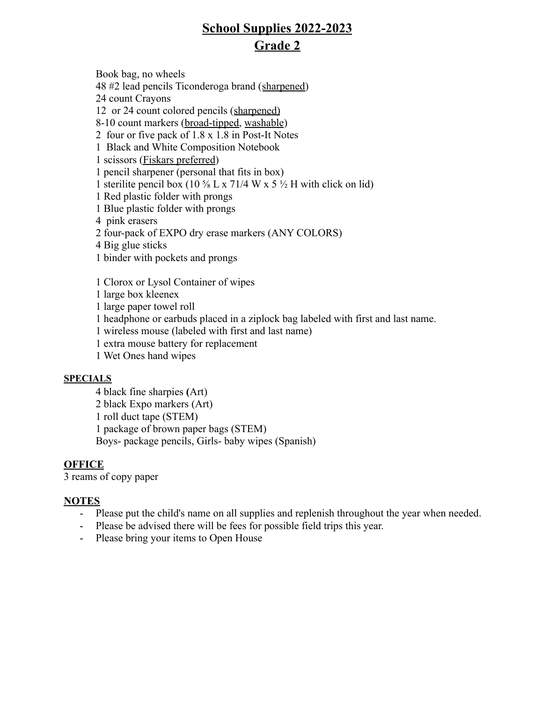Book bag, no wheels

48 #2 lead pencils Ticonderoga brand (sharpened)

24 count Crayons

12 or 24 count colored pencils (sharpened)

8-10 count markers (broad-tipped, washable)

2 four or five pack of 1.8 x 1.8 in Post-It Notes

1 Black and White Composition Notebook

1 scissors (Fiskars preferred)

1 pencil sharpener (personal that fits in box)

1 sterilite pencil box (10  $\frac{5}{8}$  L x 71/4 W x 5  $\frac{1}{2}$  H with click on lid)

1 Red plastic folder with prongs

1 Blue plastic folder with prongs

4 pink erasers

2 four-pack of EXPO dry erase markers (ANY COLORS)

4 Big glue sticks

1 binder with pockets and prongs

1 Clorox or Lysol Container of wipes

1 large box kleenex

1 large paper towel roll

1 headphone or earbuds placed in a ziplock bag labeled with first and last name.

1 wireless mouse (labeled with first and last name)

1 extra mouse battery for replacement

1 Wet Ones hand wipes

### **SPECIALS**

4 black fine sharpies **(**Art) 2 black Expo markers (Art) 1 roll duct tape (STEM) 1 package of brown paper bags (STEM) Boys- package pencils, Girls- baby wipes (Spanish)

## **OFFICE**

3 reams of copy paper

- Please put the child's name on all supplies and replenish throughout the year when needed.
- Please be advised there will be fees for possible field trips this year.
- Please bring your items to Open House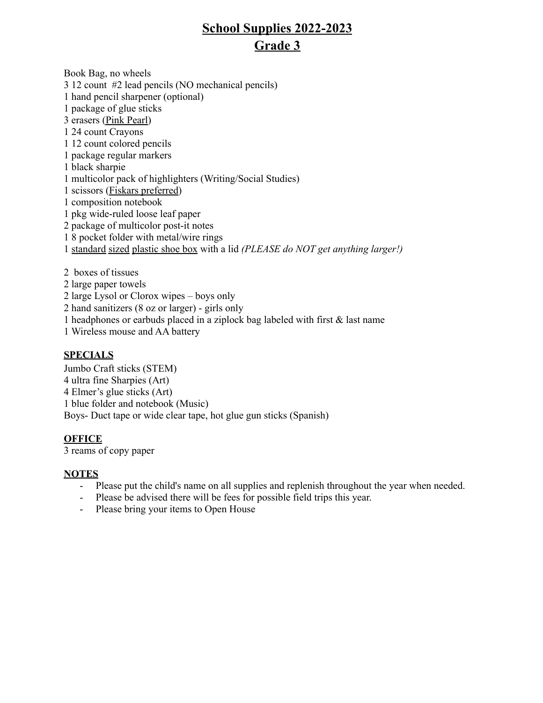Book Bag, no wheels 12 count #2 lead pencils (NO mechanical pencils) hand pencil sharpener (optional) package of glue sticks erasers (Pink Pearl) 24 count Crayons 12 count colored pencils package regular markers black sharpie multicolor pack of highlighters (Writing/Social Studies) scissors (Fiskars preferred) composition notebook pkg wide-ruled loose leaf paper package of multicolor post-it notes 8 pocket folder with metal/wire rings standard sized plastic shoe box with a lid *(PLEASE do NOT get anything larger!)*

 boxes of tissues large paper towels large Lysol or Clorox wipes – boys only hand sanitizers (8 oz or larger) - girls only

headphones or earbuds placed in a ziplock bag labeled with first & last name

Wireless mouse and AA battery

#### **SPECIALS**

Jumbo Craft sticks (STEM) ultra fine Sharpies (Art) Elmer's glue sticks (Art) blue folder and notebook (Music) Boys- Duct tape or wide clear tape, hot glue gun sticks (Spanish)

#### **OFFICE**

reams of copy paper

- Please put the child's name on all supplies and replenish throughout the year when needed.
- Please be advised there will be fees for possible field trips this year.
- Please bring your items to Open House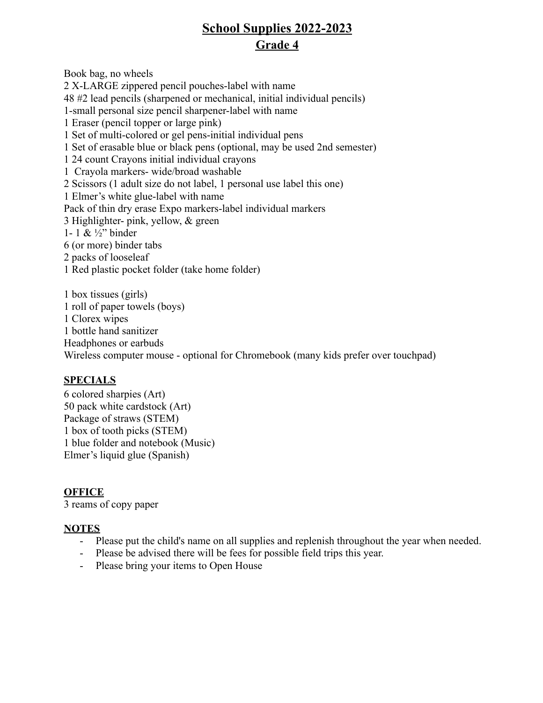Book bag, no wheels 2 X-LARGE zippered pencil pouches-label with name 48 #2 lead pencils (sharpened or mechanical, initial individual pencils) 1-small personal size pencil sharpener-label with name 1 Eraser (pencil topper or large pink) 1 Set of multi-colored or gel pens-initial individual pens 1 Set of erasable blue or black pens (optional, may be used 2nd semester) 1 24 count Crayons initial individual crayons 1 Crayola markers- wide/broad washable 2 Scissors (1 adult size do not label, 1 personal use label this one) 1 Elmer's white glue-label with name Pack of thin dry erase Expo markers-label individual markers 3 Highlighter- pink, yellow, & green 1- 1 & ½" binder 6 (or more) binder tabs 2 packs of looseleaf 1 Red plastic pocket folder (take home folder)

1 box tissues (girls) 1 roll of paper towels (boys) 1 Clorex wipes 1 bottle hand sanitizer Headphones or earbuds Wireless computer mouse - optional for Chromebook (many kids prefer over touchpad)

### **SPECIALS**

6 colored sharpies (Art) 50 pack white cardstock (Art) Package of straws (STEM) 1 box of tooth picks (STEM) 1 blue folder and notebook (Music) Elmer's liquid glue (Spanish)

### **OFFICE**

3 reams of copy paper

- Please put the child's name on all supplies and replenish throughout the year when needed.
- Please be advised there will be fees for possible field trips this year.
- Please bring your items to Open House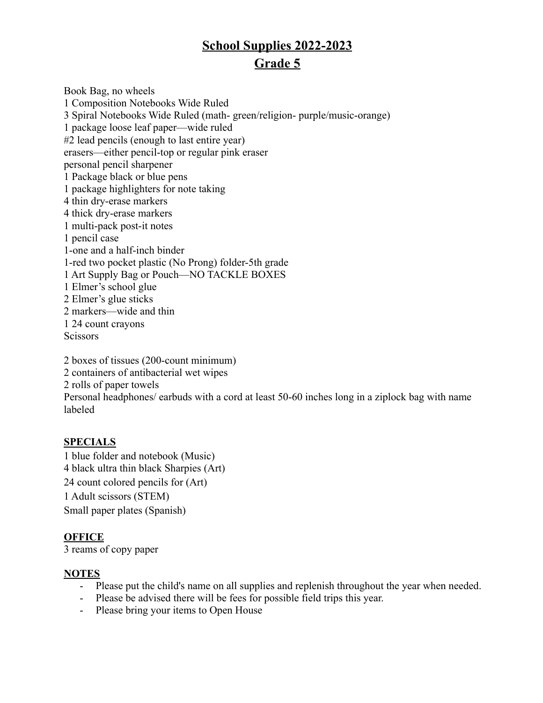Book Bag, no wheels 1 Composition Notebooks Wide Ruled 3 Spiral Notebooks Wide Ruled (math- green/religion- purple/music-orange) 1 package loose leaf paper—wide ruled #2 lead pencils (enough to last entire year) erasers—either pencil-top or regular pink eraser personal pencil sharpener 1 Package black or blue pens 1 package highlighters for note taking 4 thin dry-erase markers 4 thick dry-erase markers 1 multi-pack post-it notes 1 pencil case 1-one and a half-inch binder 1-red two pocket plastic (No Prong) folder-5th grade 1 Art Supply Bag or Pouch—NO TACKLE BOXES 1 Elmer's school glue 2 Elmer's glue sticks 2 markers—wide and thin 1 24 count crayons **Scissors** 

2 boxes of tissues (200-count minimum) 2 containers of antibacterial wet wipes 2 rolls of paper towels Personal headphones/ earbuds with a cord at least 50-60 inches long in a ziplock bag with name labeled

## **SPECIALS**

1 blue folder and notebook (Music) 4 black ultra thin black Sharpies (Art) 24 count colored pencils for (Art) 1 Adult scissors (STEM) Small paper plates (Spanish)

### **OFFICE**

3 reams of copy paper

- Please put the child's name on all supplies and replenish throughout the year when needed.
- Please be advised there will be fees for possible field trips this year.
- Please bring your items to Open House